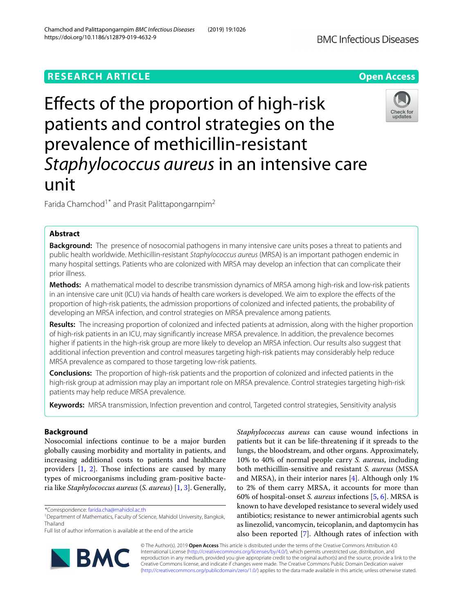## **RESEARCH ARTICLE Open Access**

# Effects of the proportion of high-risk patients and control strategies on the prevalence of methicillin-resistant *Staphylococcus aureus* in an intensive care unit

Farida Chamchod<sup>1\*</sup> and Prasit Palittapongarnpim<sup>2</sup>

Chamchod and Palittapongarnpim *BMC Infectious Diseases* (2019) 19:1026

## **Abstract**

**Background:** The presence of nosocomial pathogens in many intensive care units poses a threat to patients and public health worldwide. Methicillin-resistant Staphylococcus aureus (MRSA) is an important pathogen endemic in many hospital settings. Patients who are colonized with MRSA may develop an infection that can complicate their prior illness.

**Methods:** A mathematical model to describe transmission dynamics of MRSA among high-risk and low-risk patients in an intensive care unit (ICU) via hands of health care workers is developed. We aim to explore the effects of the proportion of high-risk patients, the admission proportions of colonized and infected patients, the probability of developing an MRSA infection, and control strategies on MRSA prevalence among patients.

**Results:** The increasing proportion of colonized and infected patients at admission, along with the higher proportion of high-risk patients in an ICU, may significantly increase MRSA prevalence. In addition, the prevalence becomes higher if patients in the high-risk group are more likely to develop an MRSA infection. Our results also suggest that additional infection prevention and control measures targeting high-risk patients may considerably help reduce MRSA prevalence as compared to those targeting low-risk patients.

**Conclusions:** The proportion of high-risk patients and the proportion of colonized and infected patients in the high-risk group at admission may play an important role on MRSA prevalence. Control strategies targeting high-risk patients may help reduce MRSA prevalence.

**Keywords:** MRSA transmission, Infection prevention and control, Targeted control strategies, Sensitivity analysis

## **Background**

Nosocomial infections continue to be a major burden globally causing morbidity and mortality in patients, and increasing additional costs to patients and healthcare providers  $[1, 2]$  $[1, 2]$  $[1, 2]$ . Those infections are caused by many types of microorganisms including gram-positive bacteria like *Staphylococcus aureus* (*S. aureus*) [\[1,](#page-8-0) [3\]](#page-8-2). Generally,

\*Correspondence: [farida.cha@mahidol.ac.th](mailto: farida.cha@mahidol.ac.th)

© The Author(s). 2019 **Open Access** This article is distributed under the terms of the Creative Commons Attribution 4.0 International License [\(http://creativecommons.org/licenses/by/4.0/\)](http://creativecommons.org/licenses/by/4.0/), which permits unrestricted use, distribution, and reproduction in any medium, provided you give appropriate credit to the original author(s) and the source, provide a link to the Creative Commons license, and indicate if changes were made. The Creative Commons Public Domain Dedication waiver [\(http://creativecommons.org/publicdomain/zero/1.0/\)](http://creativecommons.org/publicdomain/zero/1.0/) applies to the data made available in this article, unless otherwise stated.

*Staphylococcus aureus* can cause wound infections in patients but it can be life-threatening if it spreads to the lungs, the bloodstream, and other organs. Approximately, 10% to 40% of normal people carry *S. aureus*, including both methicillin-sensitive and resistant *S. aureus* (MSSA and MRSA), in their interior nares [\[4\]](#page-8-3). Although only 1% to 2% of them carry MRSA, it accounts for more than 60% of hospital-onset *S. aureus* infections [\[5,](#page-8-4) [6\]](#page-8-5). MRSA is known to have developed resistance to several widely used antibiotics; resistance to newer antimicrobial agents such as linezolid, vancomycin, teicoplanin, and daptomycin has also been reported [\[7\]](#page-9-0). Although rates of infection with





<sup>&</sup>lt;sup>1</sup> Department of Mathematics, Faculty of Science, Mahidol University, Bangkok, Thailand

Full list of author information is available at the end of the article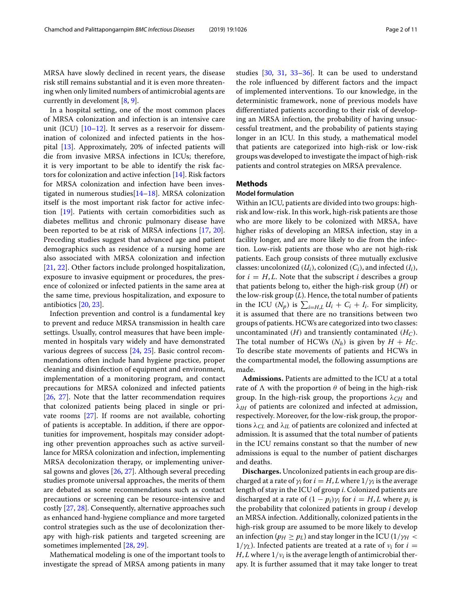MRSA have slowly declined in recent years, the disease risk still remains substantial and it is even more threatening when only limited numbers of antimicrobial agents are currently in develoment [\[8,](#page-9-1) [9\]](#page-9-2).

In a hospital setting, one of the most common places of MRSA colonization and infection is an intensive care unit (ICU)  $[10-12]$  $[10-12]$ . It serves as a reservoir for dissemination of colonized and infected patients in the hospital [\[13\]](#page-9-5). Approximately, 20% of infected patients will die from invasive MRSA infections in ICUs; therefore, it is very important to be able to identify the risk factors for colonization and active infection [\[14\]](#page-9-6). Risk factors for MRSA colonization and infection have been investigated in numerous studies[\[14](#page-9-6)[–18\]](#page-9-7). MRSA colonization itself is the most important risk factor for active infection [\[19\]](#page-9-8). Patients with certain comorbidities such as diabetes mellitus and chronic pulmonary disease have been reported to be at risk of MRSA infections [\[17,](#page-9-9) [20\]](#page-9-10). Preceding studies suggest that advanced age and patient demographics such as residence of a nursing home are also associated with MRSA colonization and infection [\[21,](#page-9-11) [22\]](#page-9-12). Other factors include prolonged hospitalization, exposure to invasive equipment or procedures, the presence of colonized or infected patients in the same area at the same time, previous hospitalization, and exposure to antibiotics [\[20,](#page-9-10) [23\]](#page-9-13).

Infection prevention and control is a fundamental key to prevent and reduce MRSA transmission in health care settings. Usually, control measures that have been implemented in hospitals vary widely and have demonstrated various degrees of success [\[24,](#page-9-14) [25\]](#page-9-15). Basic control recommendations often include hand hygiene practice, proper cleaning and disinfection of equipment and environment, implementation of a monitoring program, and contact precautions for MRSA colonized and infected patients [\[26,](#page-9-16) [27\]](#page-9-17). Note that the latter recommendation requires that colonized patients being placed in single or private rooms [\[27\]](#page-9-17). If rooms are not available, cohorting of patients is acceptable. In addition, if there are opportunities for improvement, hospitals may consider adopting other prevention approaches such as active surveillance for MRSA colonization and infection, implementing MRSA decolonization therapy, or implementing universal gowns and gloves [\[26,](#page-9-16) [27\]](#page-9-17). Although several preceding studies promote universal approaches, the merits of them are debated as some recommendations such as contact precautions or screening can be resource-intensive and costly [\[27,](#page-9-17) [28\]](#page-9-18). Consequently, alternative approaches such as enhanced hand-hygiene compliance and more targeted control strategies such as the use of decolonization therapy with high-risk patients and targeted screening are sometimes implemented [\[28,](#page-9-18) [29\]](#page-9-19).

Mathematical modeling is one of the important tools to investigate the spread of MRSA among patients in many studies [\[30,](#page-9-20) [31,](#page-9-21) [33–](#page-9-22)[36\]](#page-9-23). It can be used to understand the role influenced by different factors and the impact of implemented interventions. To our knowledge, in the deterministic framework, none of previous models have differentiated patients according to their risk of developing an MRSA infection, the probability of having unsuccessful treatment, and the probability of patients staying longer in an ICU. In this study, a mathematical model that patients are categorized into high-risk or low-risk groups was developed to investigate the impact of high-risk patients and control strategies on MRSA prevalence.

## **Methods**

## **Model formulation**

Within an ICU, patients are divided into two groups: highrisk and low-risk. In this work, high-risk patients are those who are more likely to be colonized with MRSA, have higher risks of developing an MRSA infection, stay in a facility longer, and are more likely to die from the infection. Low-risk patients are those who are not high-risk patients. Each group consists of three mutually exclusive classes: uncolonized  $(U_i)$ , colonized  $(C_i)$ , and infected  $(I_i)$ , for  $i = H, L$ . Note that the subscript *i* describes a group that patients belong to, either the high-risk group (*H*) or the low-risk group (*L*). Hence, the total number of patients in the ICU  $(N_p)$  is  $\sum_{i=H,L} U_i + C_i + I_i$ . For simplicity, it is assumed that there are no transitions between two groups of patients. HCWs are categorized into two classes: uncontaminated  $(H)$  and transiently contaminated  $(H_C)$ . The total number of HCWs  $(N_h)$  is given by  $H + H_C$ . To describe state movements of patients and HCWs in the compartmental model, the following assumptions are made.

**Admissions.** Patients are admitted to the ICU at a total rate of  $\Lambda$  with the proportion  $\theta$  of being in the high-risk group. In the high-risk group, the proportions λ*CH* and  $\lambda_{I}$  of patients are colonized and infected at admission, respectively. Moreover, for the low-risk group, the proportions λ*CL* and λ*IL* of patients are colonized and infected at admission. It is assumed that the total number of patients in the ICU remains constant so that the number of new admissions is equal to the number of patient discharges and deaths.

**Discharges.** Uncolonized patients in each group are discharged at a rate of  $\gamma_i$  for  $i = H, L$  where  $1/\gamma_i$  is the average length of stay in the ICU of group *i*. Colonized patients are discharged at a rate of  $(1 - p_i)\gamma_i$  for  $i = H, L$  where  $p_i$  is the probability that colonized patients in group *i* develop an MRSA infection. Additionally, colonized patients in the high-risk group are assumed to be more likely to develop an infection ( $p_H \geq p_L$ ) and stay longer in the ICU ( $1/\gamma_H$  <  $1/\gamma_L$ ). Infected patients are treated at a rate of  $v_i$  for  $i =$  $H, L$  where  $1/v_i$  is the average length of antimicrobial therapy. It is further assumed that it may take longer to treat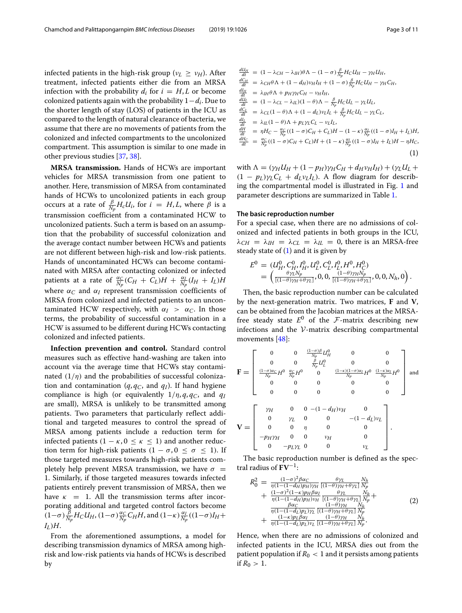infected patients in the high-risk group ( $v_L \geq v_H$ ). After treatment, infected patients either die from an MRSA infection with the probability  $d_i$  for  $i = H, L$  or become colonized patients again with the probability 1−*di*. Due to the shorter length of stay (LOS) of patients in the ICU as compared to the length of natural clearance of bacteria, we assume that there are no movements of patients from the colonized and infected compartments to the uncolonized compartment. This assumption is similar to one made in other previous studies [\[37,](#page-9-24) [38\]](#page-9-25).

**MRSA transmission.** Hands of HCWs are important vehicles for MRSA transmission from one patient to another. Here, transmission of MRSA from contaminated hands of HCWs to uncolonized patients in each group occurs at a rate of  $\frac{\beta}{N_p} H_c U_i$ , for  $i = H, L$ , where  $\beta$  is a transmission coefficient from a contaminated HCW to uncolonized patients. Such a term is based on an assumption that the probability of successful colonization and the average contact number between HCWs and patients are not different between high-risk and low-risk patients. Hands of uncontaminated HCWs can become contaminated with MRSA after contacting colonized or infected patients at a rate of  $\frac{\alpha_C}{N_p}(C_H + C_L)H + \frac{\alpha_I}{N_p}(I_H + I_L)H$ where  $\alpha_C$  and  $\alpha_I$  represent transmission coefficients of MRSA from colonized and infected patients to an uncontaminated HCW respectively, with  $\alpha_I > \alpha_C$ . In those terms, the probability of successful contamination in a HCW is assumed to be different during HCWs contacting colonized and infected patients.

**Infection prevention and control.** Standard control measures such as effective hand-washing are taken into account via the average time that HCWs stay contaminated  $(1/\eta)$  and the probabilities of successful colonization and contamination  $(q, q_C,$  and  $q_I$ ). If hand hygiene compliance is high (or equivalently  $1/\eta$ , *q*, *q*<sub>C</sub>, and *q*<sub>I</sub> are small), MRSA is unlikely to be transmitted among patients. Two parameters that particularly reflect additional and targeted measures to control the spread of MRSA among patients include a reduction term for infected patients  $(1 - \kappa, 0 \le \kappa \le 1)$  and another reduction term for high-risk patients  $(1 - \sigma, 0 \le \sigma \le 1)$ . If those targeted measures towards high-risk patients completely help prevent MRSA transmission, we have  $\sigma =$ 1. Similarly, if those targeted measures towards infected patients entirely prevent transmission of MRSA, then we have  $\kappa$  = 1. All the transmission terms after incorporating additional and targeted control factors become  $\frac{1}{(1-\sigma)}\frac{\beta}{N_p}H_C U_H$ ,  $(1-\sigma)\frac{\alpha_C}{N_p}\tilde{C_H}H$ , and  $(1-\kappa)\frac{\alpha_I}{N_p}((1-\sigma)I_H+1)$  $I_L$ ) $H$ .

<span id="page-2-0"></span>From the aforementioned assumptions, a model for describing transmission dynamics of MRSA among highrisk and low-risk patients via hands of HCWs is described by

$$
\frac{dU_H}{dt} = (1 - \lambda_{CH} - \lambda_{IH})\theta \Lambda - (1 - \sigma) \frac{\beta}{N_p} H_C U_H - \gamma_H U_H,
$$
\n
$$
\frac{dG_H}{dt} = \lambda_{CH}\theta \Lambda + (1 - d_H)\nu_H I_H + (1 - \sigma) \frac{\beta}{N_p} H_C U_H - \gamma_H C_H,
$$
\n
$$
\frac{dH_H}{dt} = \lambda_{IH}\theta \Lambda + p_H \gamma_H C_H - \nu_H I_H,
$$
\n
$$
\frac{dU_L}{dt} = (1 - \lambda_{CL} - \lambda_{IL})(1 - \theta) \Lambda - \frac{\beta}{N_p} H_C U_L - \gamma_L U_L,
$$
\n
$$
\frac{dU_L}{dt} = \lambda_{CL}(1 - \theta) \Lambda + (1 - d_L)\nu_L I_L + \frac{\beta}{N_p} H_C U_L - \gamma_L C_L,
$$
\n
$$
\frac{dH_L}{dt} = \lambda_{IL}(1 - \theta) \Lambda + p_L \gamma_L C_L - \nu_L I_L,
$$
\n
$$
\frac{dH_L}{dt} = \eta H_C - \frac{\alpha_C}{N_p}((1 - \sigma)C_H + C_L)H - (1 - \kappa) \frac{\alpha_I}{N_p}((1 - \sigma)I_H + I_L)H,
$$
\n
$$
\frac{dH_C}{dt} = \frac{\alpha_C}{N_p}((1 - \sigma)C_H + C_L)H + (1 - \kappa) \frac{\alpha_I}{N_p}((1 - \sigma)I_H + I_L)H - \eta H_C,
$$
\n(1)

 $\mathbf{w}$  with  $\Lambda = (\gamma_H U_H + (1 - p_H)\gamma_H C_H + d_H v_H I_H) + (\gamma_L U_L +$  $(1 - p_L)\gamma_L C_L + d_L \nu_L I_L$ ). A flow diagram for describing the compartmental model is illustrated in Fig. [1](#page-3-0) and parameter descriptions are summarized in Table [1.](#page-4-0)

## **The basic reproduction number**

For a special case, when there are no admissions of colonized and infected patients in both groups in the ICU,  $\lambda_{CH} = \lambda_{IH} = \lambda_{CL} = \lambda_{IL} = 0$ , there is an MRSA-free steady state of  $(1)$  and it is given by

$$
\begin{array}{lll} E^0 & = (I^0_H, C^0_H, I^0_H, U^0_L, C^0_L, I^0_L, H^0, H^0_C) \\ & = \left(\frac{\theta\gamma_L N_p}{[(1-\theta)\gamma_H+\theta\gamma_L]}, 0, 0, \frac{(1-\theta)\gamma_H N_p}{[(1-\theta)\gamma_H+\theta\gamma_L]}, 0, 0, N_h, 0\right). \end{array}
$$

Then, the basic reproduction number can be calculated by the next-generation matrix. Two matrices, **F** and **V**, can be obtained from the Jacobian matrices at the MRSAfree steady state  $E^0$  of the F-matrix describing new infections and the V-matrix describing compartmental movements [\[48\]](#page-9-26):

$$
\mathbf{F} = \begin{bmatrix} 0 & 0 & \frac{(1-\sigma)\beta}{N_p} U_H^0 & 0 & 0 \\ 0 & 0 & \frac{\beta}{N_p} U_L^0 & 0 & 0 \\ \frac{(1-\sigma)\alpha_C}{N_p} H^0 & \frac{\alpha_C}{N_p} H^0 & 0 & \frac{(1-\kappa)(1-\sigma)\alpha_I}{N_p} H^0 & \frac{(1-\kappa)\alpha_I}{N_p} H^0 \\ 0 & 0 & 0 & 0 & 0 \\ 0 & 0 & 0 & 0 & 0 \end{bmatrix}
$$
and  

$$
\mathbf{V} = \begin{bmatrix} \gamma_H & 0 & 0 & -(1-d_H)\nu_H & 0 \\ 0 & \gamma_L & 0 & 0 & -(1-d_L)\nu_L \\ 0 & 0 & \eta & 0 & 0 \\ -p_H \gamma_H & 0 & 0 & \nu_H & 0 \\ 0 & -p_L \gamma_L & 0 & 0 & \nu_L \end{bmatrix}.
$$

The basic reproduction number is defined as the spectral radius of **FV**−1:

<span id="page-2-1"></span>
$$
R_0^2 = \frac{(1-\sigma)^2 \beta \alpha_C}{\eta(1-(1-d_H)p_H)\gamma_H} \frac{\theta \gamma_L}{[(1-\theta)\gamma_H+\theta \gamma_L]} \frac{N_h}{N_p} + \frac{(1-\sigma)^2 (1-\kappa)p_H \beta \alpha_I}{\eta(1-(1-d_H)p_H)\gamma_H} \frac{\theta \gamma_L}{[(1-\theta)\gamma_H+\theta \gamma_L]} \frac{N_h}{N_p} + \frac{\beta \alpha_C}{\eta(1-(1-d_L)p_L)\gamma_L} \frac{(1-\theta)\gamma_H}{[(1-\theta)\gamma_H+\theta \gamma_L]} \frac{N_h}{N_p} + \frac{(1-\kappa)p_L \beta \alpha_I}{\eta(1-(1-d_L)p_L)\nu_L} \frac{(1-\theta)\gamma_H+\theta \gamma_L]} \frac{N_h}{N_p}.
$$
 (2)

Hence, when there are no admissions of colonized and infected patients in the ICU, MRSA dies out from the patient population if  $R_0 < 1$  and it persists among patients if  $R_0 > 1$ .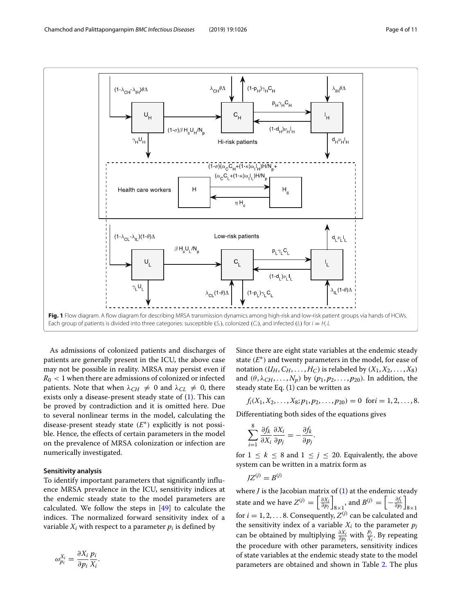

<span id="page-3-0"></span>As admissions of colonized patients and discharges of patients are generally present in the ICU, the above case may not be possible in reality. MRSA may persist even if  $R_0$  < 1 when there are admissions of colonized or infected patients. Note that when  $\lambda_{CH} \neq 0$  and  $\lambda_{CL} \neq 0$ , there exists only a disease-present steady state of [\(1\)](#page-2-0). This can be proved by contradiction and it is omitted here. Due to several nonlinear terms in the model, calculating the disease-present steady state (*E*∗) explicitly is not possible. Hence, the effects of certain parameters in the model on the prevalence of MRSA colonization or infection are numerically investigated.

## **Sensitivity analysis**

To identify important parameters that significantly influence MRSA prevalence in the ICU, sensitivity indices at the endemic steady state to the model parameters are calculated. We follow the steps in [\[49\]](#page-9-27) to calculate the indices. The normalized forward sensitivity index of a variable  $X_i$  with respect to a parameter  $p_i$  is defined by

$$
\omega_{p_i}^{X_i} = \frac{\partial X_i}{\partial p_i} \frac{p_i}{X_i}.
$$

Since there are eight state variables at the endemic steady state (*E*∗) and twenty parameters in the model, for ease of notation  $(U_H, C_H, \ldots, H_C)$  is relabeled by  $(X_1, X_2, \ldots, X_8)$ and  $(\theta, \lambda_{CH}, \ldots, N_p)$  by  $(p_1, p_2, \ldots, p_{20})$ . In addition, the steady state Eq. [\(1\)](#page-2-0) can be written as

 $f_i(X_1, X_2, \ldots, X_8; p_1, p_2, \ldots, p_{20}) = 0$  for  $i = 1, 2, \ldots, 8$ . Differentiating both sides of the equations gives

$$
\sum_{i=1}^8 \frac{\partial f_k}{\partial X_i} \frac{\partial X_i}{\partial p_j} = -\frac{\partial f_k}{\partial p_j}.
$$

for  $1 \leq k \leq 8$  and  $1 \leq j \leq 20$ . Equivalently, the above system can be written in a matrix form as

$$
JZ^{(j)}=B^{(j)}
$$

where  $J$  is the Jacobian matrix of  $(1)$  at the endemic steady state and we have  $Z^{(j)} = \left\lceil \frac{\partial X_i}{\partial p_j} \right\rceil$  $\mathbf{g}_{\times 1}$ , and  $B^{(j)} = \left[ -\frac{\partial f_i}{\partial p_j} \right]$  $8\times1$ for  $i = 1, 2, \ldots 8$ . Consequently,  $Z^{(j)}$  can be calculated and the sensitivity index of a variable  $X_i$  to the parameter  $p_i$ can be obtained by multiplying  $\frac{\partial X_i}{\partial p_j}$  with  $\frac{p_j}{X_i}$ . By repeating the procedure with other parameters, sensitivity indices of state variables at the endemic steady state to the model parameters are obtained and shown in Table [2.](#page-5-0) The plus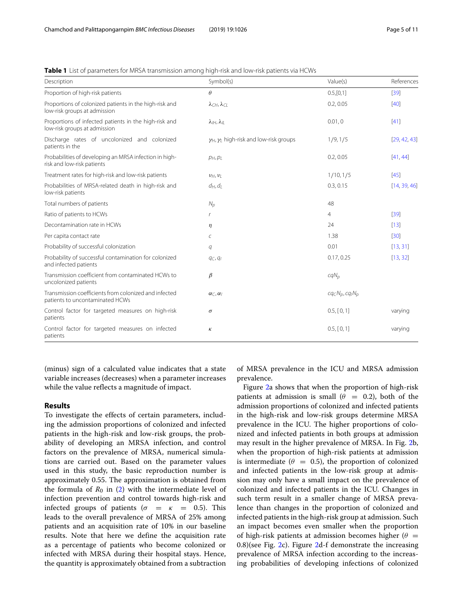| Description                                                                              | Symbol(s)                                             | Value(s)                          | References   |
|------------------------------------------------------------------------------------------|-------------------------------------------------------|-----------------------------------|--------------|
| Proportion of high-risk patients                                                         | $\theta$                                              | 0.5,[0,1]                         | $[39]$       |
| Proportions of colonized patients in the high-risk and<br>low-risk groups at admission   | $\lambda_{CH}$ , $\lambda_{Cl}$                       | 0.2, 0.05                         | [40]         |
| Proportions of infected patients in the high-risk and<br>low-risk groups at admission    | $\lambda_{I H}$ , $\lambda_{II}$                      | 0.01, 0                           | $[41]$       |
| Discharge rates of uncolonized and colonized<br>patients in the                          | $\gamma_H$ , $\gamma_L$ high-risk and low-risk groups | 1/9, 1/5                          | [29, 42, 43] |
| Probabilities of developing an MRSA infection in high-<br>risk and low-risk patients     | $p_H, p_L$                                            | 0.2, 0.05                         | [41, 44]     |
| Treatment rates for high-risk and low-risk patients                                      | $\nu_H$ , $\nu_I$                                     | 1/10, 1/5                         | $[45]$       |
| Probabilities of MRSA-related death in high-risk and<br>low-risk patients                | $d_H, d_I$                                            | 0.3, 0.15                         | [14, 39, 46] |
| Total numbers of patients                                                                | $N_{D}$                                               | 48                                |              |
| Ratio of patients to HCWs                                                                | r                                                     | 4                                 | $[39]$       |
| Decontamination rate in HCWs                                                             | $\eta$                                                | 24                                | [13]         |
| Per capita contact rate                                                                  | C                                                     | 1.38                              | $[30]$       |
| Probability of successful colonization                                                   | q                                                     | 0.01                              | [13, 31]     |
| Probability of successful contamination for colonized<br>and infected patients           | $q_C, q_I$                                            | 0.17, 0.25                        | [13, 32]     |
| Transmission coefficient from contaminated HCWs to<br>uncolonized patients               | $\beta$                                               | cqN <sub>p</sub>                  |              |
| Transmission coefficients from colonized and infected<br>patients to uncontaminated HCWs | $\alpha_{\mathcal{C}}, \alpha_{\mathcal{C}}$          | $cq_CN_D$ , cq <sub>1</sub> $N_D$ |              |
| Control factor for targeted measures on high-risk<br>patients                            | $\sigma$                                              | 0.5, [0, 1]                       | varying      |
| Control factor for targeted measures on infected<br>patients                             | к                                                     | 0.5, [0, 1]                       | varying      |

<span id="page-4-0"></span>**Table 1** List of parameters for MRSA transmission among high-risk and low-risk patients via HCWs

(minus) sign of a calculated value indicates that a state variable increases (decreases) when a parameter increases while the value reflects a magnitude of impact.

## **Results**

To investigate the effects of certain parameters, including the admission proportions of colonized and infected patients in the high-risk and low-risk groups, the probability of developing an MRSA infection, and control factors on the prevalence of MRSA, numerical simulations are carried out. Based on the parameter values used in this study, the basic reproduction number is approximately 0.55. The approximation is obtained from the formula of  $R_0$  in  $(2)$  with the intermediate level of infection prevention and control towards high-risk and infected groups of patients ( $\sigma = \kappa = 0.5$ ). This leads to the overall prevalence of MRSA of 25% among patients and an acquisition rate of 10% in our baseline results. Note that here we define the acquisition rate as a percentage of patients who become colonized or infected with MRSA during their hospital stays. Hence, the quantity is approximately obtained from a subtraction

of MRSA prevalence in the ICU and MRSA admission prevalence.

Figure [2a](#page-6-0) shows that when the proportion of high-risk patients at admission is small ( $\theta = 0.2$ ), both of the admission proportions of colonized and infected patients in the high-risk and low-risk groups determine MRSA prevalence in the ICU. The higher proportions of colonized and infected patients in both groups at admission may result in the higher prevalence of MRSA. In Fig. [2b](#page-6-0), when the proportion of high-risk patients at admission is intermediate ( $\theta = 0.5$ ), the proportion of colonized and infected patients in the low-risk group at admission may only have a small impact on the prevalence of colonized and infected patients in the ICU. Changes in such term result in a smaller change of MRSA prevalence than changes in the proportion of colonized and infected patients in the high-risk group at admission. Such an impact becomes even smaller when the proportion of high-risk patients at admission becomes higher ( $\theta =$  $(0.8)(\text{see Fig. 2c})$  $(0.8)(\text{see Fig. 2c})$  $(0.8)(\text{see Fig. 2c})$ . Figure [2d](#page-6-0)-f demonstrate the increasing prevalence of MRSA infection according to the increasing probabilities of developing infections of colonized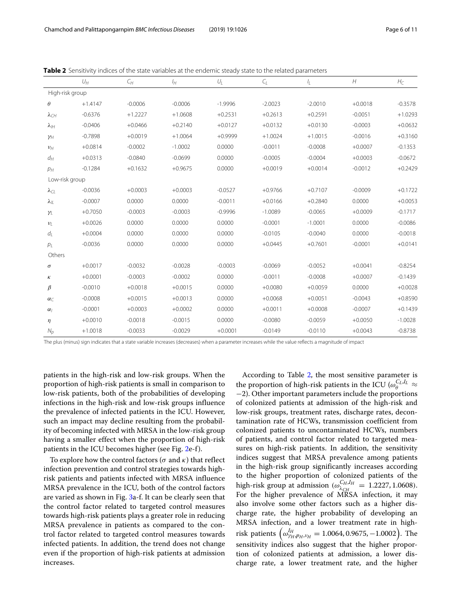<span id="page-5-0"></span>

|                                | $U_H$           | $C_{H}%$  | ΙH        | $U_L$     | $C_L$     | $I_L$     | H         | $H_C$     |
|--------------------------------|-----------------|-----------|-----------|-----------|-----------|-----------|-----------|-----------|
|                                | High-risk group |           |           |           |           |           |           |           |
| $\theta$                       | $+1.4147$       | $-0.0006$ | $-0.0006$ | $-1.9996$ | $-2.0023$ | $-2.0010$ | $+0.0018$ | $-0.3578$ |
| $\lambda$ CH                   | $-0.6376$       | $+1.2227$ | $+1.0608$ | $+0.2531$ | $+0.2613$ | $+0.2591$ | $-0.0051$ | $+1.0293$ |
| $\lambda_{\parallel\parallel}$ | $-0.0406$       | $+0.0466$ | $+0.2140$ | $+0.0127$ | $+0.0132$ | $+0.0130$ | $-0.0003$ | $+0.0632$ |
| $\gamma_H$                     | $-0.7898$       | $+0.0019$ | $+1.0064$ | $+0.9999$ | $+1.0024$ | $+1.0015$ | $-0.0016$ | $+0.3160$ |
| $\nu_H$                        | $+0.0814$       | $-0.0002$ | $-1.0002$ | 0.0000    | $-0.0011$ | $-0.0008$ | $+0.0007$ | $-0.1353$ |
| $d_H$                          | $+0.0313$       | $-0.0840$ | $-0.0699$ | 0.0000    | $-0.0005$ | $-0.0004$ | $+0.0003$ | $-0.0672$ |
| $p_H$                          | $-0.1284$       | $+0.1632$ | $+0.9675$ | 0.0000    | $+0.0019$ | $+0.0014$ | $-0.0012$ | $+0.2429$ |
| Low-risk group                 |                 |           |           |           |           |           |           |           |
| $\lambda_{CL}$                 | $-0.0036$       | $+0.0003$ | $+0.0003$ | $-0.0527$ | $+0.9766$ | $+0.7107$ | $-0.0009$ | $+0.1722$ |
| $\lambda_{\parallel}$          | $-0.0007$       | 0.0000    | 0.0000    | $-0.0011$ | $+0.0166$ | $+0.2840$ | 0.0000    | $+0.0053$ |
| $\gamma_L$                     | $+0.7050$       | $-0.0003$ | $-0.0003$ | $-0.9996$ | $-1.0089$ | $-0.0065$ | $+0.0009$ | $-0.1717$ |
| $v_L$                          | $+0.0026$       | 0.0000    | 0.0000    | 0.0000    | $-0.0001$ | $-1.0001$ | 0.0000    | $-0.0086$ |
| $d_{L}$                        | $+0.0004$       | 0.0000    | 0.0000    | 0.0000    | $-0.0105$ | $-0.0040$ | 0.0000    | $-0.0018$ |
| $p_L$                          | $-0.0036$       | 0.0000    | 0.0000    | 0.0000    | $+0.0445$ | $+0.7601$ | $-0.0001$ | $+0.0141$ |
| Others                         |                 |           |           |           |           |           |           |           |
| $\sigma$                       | $+0.0017$       | $-0.0032$ | $-0.0028$ | $-0.0003$ | $-0.0069$ | $-0.0052$ | $+0.0041$ | $-0.8254$ |
| к                              | $+0.0001$       | $-0.0003$ | $-0.0002$ | 0.0000    | $-0.0011$ | $-0.0008$ | $+0.0007$ | $-0.1439$ |
| $\beta$                        | $-0.0010$       | $+0.0018$ | $+0.0015$ | 0.0000    | $+0.0080$ | $+0.0059$ | 0.0000    | $+0.0028$ |
| $\alpha_C$                     | $-0.0008$       | $+0.0015$ | $+0.0013$ | 0.0000    | $+0.0068$ | $+0.0051$ | $-0.0043$ | $+0.8590$ |
| $\alpha$                       | $-0.0001$       | $+0.0003$ | $+0.0002$ | 0.0000    | $+0.0011$ | $+0.0008$ | $-0.0007$ | $+0.1439$ |
| $\eta$                         | $+0.0010$       | $-0.0018$ | $-0.0015$ | 0.0000    | $-0.0080$ | $-0.0059$ | $+0.0050$ | $-1.0028$ |
| $N_p$                          | $+1.0018$       | $-0.0033$ | $-0.0029$ | $+0.0001$ | $-0.0149$ | $-0.0110$ | $+0.0043$ | $-0.8738$ |

**Table 2** Sensitivity indices of the state variables at the endemic steady state to the related parameters

The plus (minus) sign indicates that a state variable increases (decreases) when a parameter increases while the value reflects a magnitude of impact

patients in the high-risk and low-risk groups. When the proportion of high-risk patients is small in comparison to low-risk patients, both of the probabilities of developing infections in the high-risk and low-risk groups influence the prevalence of infected patients in the ICU. However, such an impact may decline resulting from the probability of becoming infected with MRSA in the low-risk group having a smaller effect when the proportion of high-risk patients in the ICU becomes higher (see Fig. [2e](#page-6-0)-f ).

To explore how the control factors ( $\sigma$  and  $\kappa$ ) that reflect infection prevention and control strategies towards highrisk patients and patients infected with MRSA influence MRSA prevalence in the ICU, both of the control factors are varied as shown in Fig. [3a](#page-7-0)-f. It can be clearly seen that the control factor related to targeted control measures towards high-risk patients plays a greater role in reducing MRSA prevalence in patients as compared to the control factor related to targeted control measures towards infected patients. In addition, the trend does not change even if the proportion of high-risk patients at admission increases.

According to Table [2,](#page-5-0) the most sensitive parameter is the proportion of high-risk patients in the ICU  $(\omega_{\theta}^{C_L, I_L} \approx$ −2). Other important parameters include the proportions of colonized patients at admission of the high-risk and low-risk groups, treatment rates, discharge rates, decontamination rate of HCWs, transmission coefficient from colonized patients to uncontaminated HCWs, numbers of patients, and control factor related to targeted measures on high-risk patients. In addition, the sensitivity indices suggest that MRSA prevalence among patients in the high-risk group significantly increases according to the higher proportion of colonized patients of the high-risk group at admission ( $\omega_{\lambda_{CH}}^{C_H, I_H} = 1.2227, 1.0608$ ). For the higher prevalence of MRSA infection, it may also involve some other factors such as a higher discharge rate, the higher probability of developing an MRSA infection, and a lower treatment rate in highrisk patients  $\left(\omega_{\gamma_{H},p_{H},\nu_{H}}^{J_{H}}=1.0064,0.9675,-1.0002\right)$ . The sensitivity indices also suggest that the higher proportion of colonized patients at admission, a lower discharge rate, a lower treatment rate, and the higher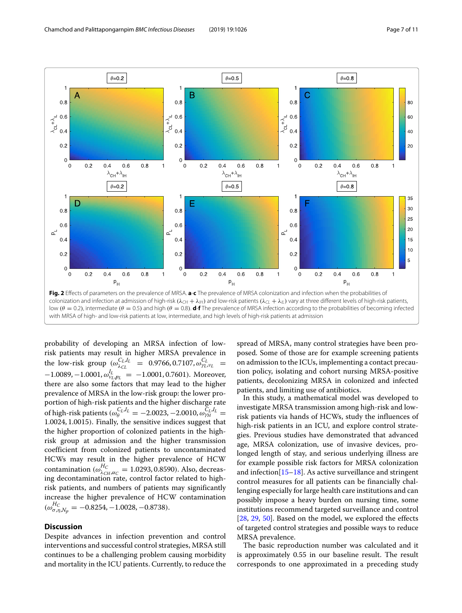

<span id="page-6-0"></span>probability of developing an MRSA infection of lowrisk patients may result in higher MRSA prevalence in the low-risk group  $(\omega_{\lambda_{CL}}^{C_L, I_L} = 0.9766, 0.7107, \omega_{\gamma_L, \nu_L}^{C_L} =$  $-1.0089, -1.0001, \omega_{\nu_L, p_L}^{I_L} = -1.0001, 0.7601$ ). Moreover, there are also some factors that may lead to the higher prevalence of MRSA in the low-risk group: the lower proportion of high-risk patients and the higher discharge rate of high-risk patients ( $\omega_{\theta}^{C_L, I_L} = -2.0023, -2.0010, \omega_{\gamma_H}^{C_L, I_L} =$ 1.0024, 1.0015). Finally, the sensitive indices suggest that the higher proportion of colonized patients in the highrisk group at admission and the higher transmission coefficient from colonized patients to uncontaminated HCWs may result in the higher prevalence of HCW contamination ( $\omega_{\lambda_{CH, \alpha_C}}^{H_C} = 1.0293, 0.8590$ ). Also, decreasing decontamination rate, control factor related to highrisk patients, and numbers of patients may significantly increase the higher prevalence of HCW contamination  $(\omega_{\sigma,\eta,N_p}^{H_C} = -0.8254, -1.0028, -0.8738).$ 

## **Discussion**

Despite advances in infection prevention and control interventions and successful control strategies, MRSA still continues to be a challenging problem causing morbidity and mortality in the ICU patients. Currently, to reduce the

spread of MRSA, many control strategies have been proposed. Some of those are for example screening patients on admission to the ICUs, implementing a contact precaution policy, isolating and cohort nursing MRSA-positive patients, decolonizing MRSA in colonized and infected patients, and limiting use of antibiotics.

In this study, a mathematical model was developed to investigate MRSA transmission among high-risk and lowrisk patients via hands of HCWs, study the influences of high-risk patients in an ICU, and explore control strategies. Previous studies have demonstrated that advanced age, MRSA colonization, use of invasive devices, prolonged length of stay, and serious underlying illness are for example possible risk factors for MRSA colonization and infection $[15-18]$  $[15-18]$ . As active surveillance and stringent control measures for all patients can be financially challenging especially for large health care institutions and can possibly impose a heavy burden on nursing time, some institutions recommend targeted surveillance and control [\[28,](#page-9-18) [29,](#page-9-19) [50\]](#page-9-38). Based on the model, we explored the effects of targeted control strategies and possible ways to reduce MRSA prevalence.

The basic reproduction number was calculated and it is approximately 0.55 in our baseline result. The result corresponds to one approximated in a preceding study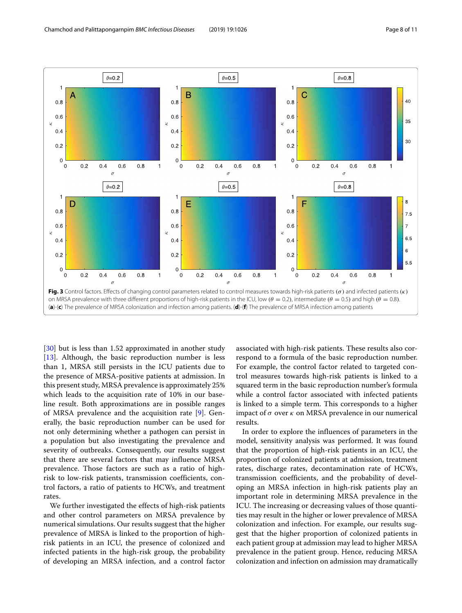

<span id="page-7-0"></span>[\[30\]](#page-9-20) but is less than 1.52 approximated in another study [\[13\]](#page-9-5). Although, the basic reproduction number is less than 1, MRSA still persists in the ICU patients due to the presence of MRSA-positive patients at admission. In this present study, MRSA prevalence is approximately 25% which leads to the acquisition rate of 10% in our baseline result. Both approximations are in possible ranges of MRSA prevalence and the acquisition rate [\[9\]](#page-9-2). Generally, the basic reproduction number can be used for not only determining whether a pathogen can persist in a population but also investigating the prevalence and severity of outbreaks. Consequently, our results suggest that there are several factors that may influence MRSA prevalence. Those factors are such as a ratio of highrisk to low-risk patients, transmission coefficients, control factors, a ratio of patients to HCWs, and treatment rates.

We further investigated the effects of high-risk patients and other control parameters on MRSA prevalence by numerical simulations. Our results suggest that the higher prevalence of MRSA is linked to the proportion of highrisk patients in an ICU, the presence of colonized and infected patients in the high-risk group, the probability of developing an MRSA infection, and a control factor

associated with high-risk patients. These results also correspond to a formula of the basic reproduction number. For example, the control factor related to targeted control measures towards high-risk patients is linked to a squared term in the basic reproduction number's formula while a control factor associated with infected patients is linked to a simple term. This corresponds to a higher impact of  $\sigma$  over  $\kappa$  on MRSA prevalence in our numerical results.

In order to explore the influences of parameters in the model, sensitivity analysis was performed. It was found that the proportion of high-risk patients in an ICU, the proportion of colonized patients at admission, treatment rates, discharge rates, decontamination rate of HCWs, transmission coefficients, and the probability of developing an MRSA infection in high-risk patients play an important role in determining MRSA prevalence in the ICU. The increasing or decreasing values of those quantities may result in the higher or lower prevalence of MRSA colonization and infection. For example, our results suggest that the higher proportion of colonized patients in each patient group at admission may lead to higher MRSA prevalence in the patient group. Hence, reducing MRSA colonization and infection on admission may dramatically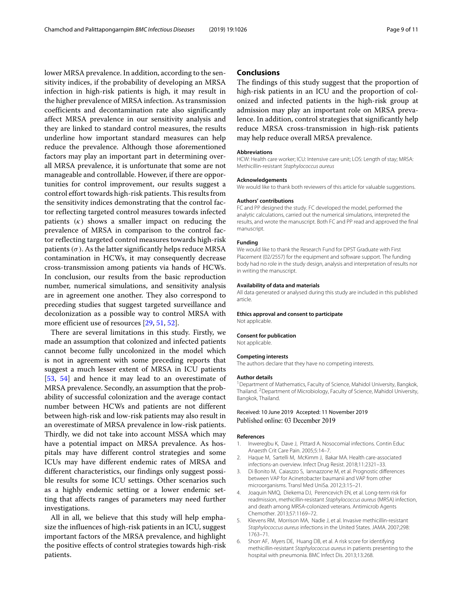lower MRSA prevalence. In addition, according to the sensitivity indices, if the probability of developing an MRSA infection in high-risk patients is high, it may result in the higher prevalence of MRSA infection. As transmission coefficients and decontamination rate also significantly affect MRSA prevalence in our sensitivity analysis and they are linked to standard control measures, the results underline how important standard measures can help reduce the prevalence. Although those aforementioned factors may play an important part in determining overall MRSA prevalence, it is unfortunate that some are not manageable and controllable. However, if there are opportunities for control improvement, our results suggest a control effort towards high-risk patients. This results from the sensitivity indices demonstrating that the control factor reflecting targeted control measures towards infected patients  $(\kappa)$  shows a smaller impact on reducing the prevalence of MRSA in comparison to the control factor reflecting targeted control measures towards high-risk patients  $(\sigma)$ . As the latter significantly helps reduce MRSA contamination in HCWs, it may consequently decrease cross-transmission among patients via hands of HCWs. In conclusion, our results from the basic reproduction number, numerical simulations, and sensitivity analysis are in agreement one another. They also correspond to preceding studies that suggest targeted surveillance and decolonization as a possible way to control MRSA with more efficient use of resources [\[29,](#page-9-19) [51,](#page-9-39) [52\]](#page-10-0).

There are several limitations in this study. Firstly, we made an assumption that colonized and infected patients cannot become fully uncolonized in the model which is not in agreement with some preceding reports that suggest a much lesser extent of MRSA in ICU patients [\[53,](#page-10-1) [54\]](#page-10-2) and hence it may lead to an overestimate of MRSA prevalence. Secondly, an assumption that the probability of successful colonization and the average contact number between HCWs and patients are not different between high-risk and low-risk patients may also result in an overestimate of MRSA prevalence in low-risk patients. Thirdly, we did not take into account MSSA which may have a potential impact on MRSA prevalence. As hospitals may have different control strategies and some ICUs may have different endemic rates of MRSA and different characteristics, our findings only suggest possible results for some ICU settings. Other scenarios such as a highly endemic setting or a lower endemic setting that affects ranges of parameters may need further investigations.

All in all, we believe that this study will help emphasize the influences of high-risk patients in an ICU, suggest important factors of the MRSA prevalence, and highlight the positive effects of control strategies towards high-risk patients.

## **Conclusions**

The findings of this study suggest that the proportion of high-risk patients in an ICU and the proportion of colonized and infected patients in the high-risk group at admission may play an important role on MRSA prevalence. In addition, control strategies that significantly help reduce MRSA cross-transmission in high-risk patients may help reduce overall MRSA prevalence.

#### **Abbreviations**

HCW: Health care worker; ICU: Intensive care unit; LOS: Length of stay; MRSA: Methicillin-resistant Staphylococcus aureus

### **Acknowledgements**

We would like to thank both reviewers of this article for valuable suggestions.

#### **Authors' contributions**

FC and PP designed the study. FC developed the model, performed the analytic calculations, carried out the numerical simulations, interpreted the results, and wrote the manuscript. Both FC and PP read and approved the final manuscript.

#### **Funding**

We would like to thank the Research Fund for DPST Graduate with First Placement (02/2557) for the equipment and software support. The funding body had no role in the study design, analysis and interpretation of results nor in writing the manuscript.

#### **Availability of data and materials**

All data generated or analysed during this study are included in this published article.

#### **Ethics approval and consent to participate**

Not applicable.

#### **Consent for publication**

Not applicable.

#### **Competing interests** The authors declare that they have no competing interests.

#### **Author details**

<sup>1</sup> Department of Mathematics, Faculty of Science, Mahidol University, Bangkok, Thailand. 2Department of Microbiology, Faculty of Science, Mahidol University, Bangkok, Thailand.

## Received: 10 June 2019 Accepted: 11 November 2019 Published online: 03 December 2019

#### **References**

- <span id="page-8-0"></span>1. Inweregbu K, Dave J, Pittard A. Nosocomial infections. Contin Educ Anaesth Crit Care Pain. 2005;5:14–7.
- <span id="page-8-1"></span>2. Haque M, Sartelli M, McKimm J, Bakar MA. Health care-associated infections-an overview. Infect Drug Resist. 2018;11:2321–33.
- <span id="page-8-2"></span>3. Di Bonito M, Caiaszzo S, Iannazzone M, et al. Prognostic differences between VAP for Acinetobacter baumanii and VAP from other microorganisms. Transl Med UniSa. 2012;3:15–21.
- <span id="page-8-3"></span>4. Joaquin NMQ, Diekema DJ, Perencevich EN, et al. Long-term risk for readmission, methicillin-resistant Staphylococcus aureus (MRSA) infection, and death among MRSA-colonized veterans. Antimicrob Agents Chemother. 2013;57:1169–72.
- <span id="page-8-4"></span>5. Klevens RM, Morrison MA, Nadie J, et al. Invasive methicillin-resistant Staphylococcus aureus infections in the United States. JAMA. 2007;298: 1763–71.
- <span id="page-8-5"></span>6. Shorr AF, Myers DE, Huang DB, et al. A risk score for identifying methicillin-resistant Staphylococcus aureus in patients presenting to the hospital with pneumonia. BMC Infect Dis. 2013;13:268.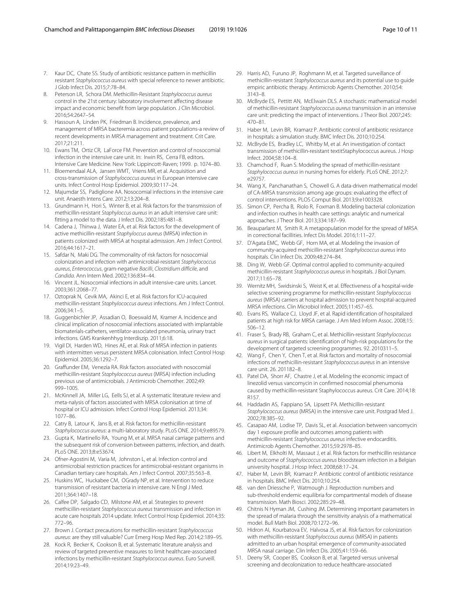- <span id="page-9-0"></span>7. Kaur DC, Chate SS. Study of antibiotic resistance pattern in methicillin resistant Staphylococcus aureus with special reference to newer antibiotic. J Glob Infect Dis. 2015;7:78–84.
- <span id="page-9-1"></span>8. Peterson LR, Schora DM. Methicillin-Resistant Staphylococcus aureus control in the 21st century: laboratory involvement affecting disease impact and economic benefit from large population. J Clin Microbiol. 2016;54:2647–54.
- <span id="page-9-2"></span>Hassoun A, Linden PK, Friedman B. Incidence, prevalence, and management of MRSA bacteremia across patient populations-a review of recent developments in MRSA management and treatment. Crit Care. 2017;21:211.
- <span id="page-9-3"></span>10. Ewans TM, Ortiz CR, LaForce FM. Prevention and control of nosocomial infection in the intensive care unit. In: Irwin RS, Cerra FB, editors. Intensive Care Medicine. New York: Lippincott-Raven; 1999. p. 1074–80.
- 11. Bloemendaal ALA, Jansen WMT, Vriens MR, et al. Acquisition and cross-transmission of Staphylococcus aureus in European intensive care units. Infect Control Hosp Epidemiol. 2009;30:117–24.
- <span id="page-9-4"></span>12. Majumdar SS, Padiglione AA. Nosocomial infections in the intensive care unit. Anaesth Intens Care. 2012;13:204–8.
- <span id="page-9-5"></span>13. Grundmann H, Hori S, Winter B, et al. Risk factors for the transmission of methicillin-resistant Staphyloccus aureus in an adult intensive care unit: fitting a model to the data. J Infect Dis. 2002;185:481–8.
- <span id="page-9-6"></span>14. Cadena J, Thinwa J, Water EA, et al. Risk factors for the development of active methicillin-resistant Staphyloccus aureus (MRSA) infection in patients colonized with MRSA at hospital admission. Am J Infect Control. 2016;44:1617–21.
- <span id="page-9-37"></span>15. Safdar N, Maki DG. The commonality of risk factors for nosocomial colonization and infection with antimicrobial-resistant Staphylococcus aureus, Enterococcus, gram-negative Bacilli, Clostridium difficile, and Candida. Ann Intern Med. 2002;136:834–44.
- 16. Vincent JL. Nosocomial infections in adult intensive-care units. Lancet. 2003;361:2068–77.
- <span id="page-9-9"></span>17. Oztoprak N, Cevik MA, Akinci E, et al. Risk factors for ICU-acquired methicillin-resistant Staphylococcus aureus infections. Am J Infect Control. 2006;34:1–5.
- <span id="page-9-7"></span>18. Guggenbichler JP, Assadian O, Boeswald M, Kramer A. Incidence and clinical implication of nosocomial infections associated with implantable biomaterials-catheters, ventilator-associated pneumonia, urinary tract infections. GMS Krankenhhyg Interdiszip. 2011;6:18.
- <span id="page-9-8"></span>19. Vigil DI, Harden WD, Hines AE, et al. Risk of MRSA infection in patients with intermitten versus persistent MRSA colonisation. Infect Control Hosp Epidemiol. 2005;36:1292–7.
- <span id="page-9-10"></span>20. Graffunder EM, Venezia RA. Risk factors associated with nosocomial methicillin-resistant Staphylococcus aureus (MRSA) infection including previous use of antimicrobials. J Antimicrob Chemother. 2002;49: 999–1005.
- <span id="page-9-11"></span>21. McKinnell JA, Miller LG, Eells SJ, et al. A systematic literature review and meta-nalysis of factors associated with MRSA colonisation at time of hospital or ICU admission. Infect Control Hosp Epidemiol. 2013;34: 1077–86.
- <span id="page-9-12"></span>22. Catry B, Latour K, Jans B, et al. Risk factors for methicillin-resistant Staphylococcus aureus: a multi-laboratory study. PLoS ONE. 2014;9:e89579.
- <span id="page-9-13"></span>23. Gupta K, Martinello RA, Young M, et al. MRSA nasal carriage patterns and the subsequent risk of conversion between patterns, infection, and death. PLoS ONE. 2013;8:e53674.
- <span id="page-9-14"></span>24. Ofner-Agostini M, Varia M, Johnston L, et al. Infection control and antimicrobial restriction practices for antimicrobial-resistant organisms in Canadian tertiary care hospitals. Am J Infect Control. 2007;35:563–8.
- <span id="page-9-15"></span>25. Huskins WC, Huckabee CM, OGrady NP, et al. Intervention to reduce transmission of resistant bacteria in intensive care. N Engl J Med. 2011;364:1407–18.
- <span id="page-9-16"></span>26. Calfee DP, Salgado CD, Milstone AM, et al. Strategies to prevent methicillin-resistant Staphylococcus aureus transmission and infection in acute care hospitals 2014 update. Infect Control Hosp Epidemiol. 2014;35: 772–96.
- <span id="page-9-17"></span>27. Brown J. Contact precautions for methicillin-resistant Staphylococcus aureus: are they still valuable? Curr Emerg Hosp Med Rep. 2014;2:189–95.
- <span id="page-9-18"></span>28. Kock R, Becker K, Cookson B, et al. Systematic literature analysis and review of targeted preventive measures to limit healthcare-associated infections by methicillin-resistant Staphylococcus aureus. Euro Surveill. 2014;19:23–49.
- <span id="page-9-19"></span>29. Harris AD, Furuno JP, Roghmann M, et al. Targeted surveillance of methicillin-resistant Staphylococcus aureus and its potential use to guide empiric antibiotic therapy. Antimicrob Agents Chemother. 2010;54: 3143–8.
- <span id="page-9-20"></span>30. McBryde ES, Pettitt AN, McElwain DLS. A stochastic mathematical model of methicillin-resistant Staphylococcus aureus transmission in an intensive care unit: predicting the impact of interventions. J Theor Biol. 2007;245: 470–81.
- <span id="page-9-21"></span>31. Haber M, Levin BR, Kramarz P. Antibiotic control of antibiotic resistance in hospitals: a simulation study. BMC Infect Dis. 2010;10:254.
- <span id="page-9-36"></span>32. McBryde ES, Bradley LC, Whitby M, et al. An investigation of contact transmission of methicillin-resistant textitStaphylococcus aureus. J Hosp Infect. 2004;58:104–8.
- <span id="page-9-22"></span>33. Chamchod F, Ruan S. Modeling the spread of methicillin-resistant Staphylococcus aureus in nursing homes for elderly. PLoS ONE. 2012;7: e29757.
- 34. Wang X, Panchanathan S, Chowell G. A data-driven mathematical model of CA-MRSA transmission among age groups: evaluating the effect of control interventions. PLOS Comput Biol. 2013;9:e1003328.
- 35. Simon CP, Percha B, Riolo R, Foxman B. Modeling bacterial colonization and infection routhes in health care settings: analytic and numerical approaches. J Theor Biol. 2013;334:187–99.
- <span id="page-9-23"></span>36. Beauparlant M, Smith R. A metapopulation model for the spread of MRSA in correctional facillities. Infect Dis Model. 2016;1:11–27.
- <span id="page-9-24"></span>37. D'Agata EMC, Webb GF, Horn MA, et al. Modeling the invasion of community-acquired methicillin-resistant Staphylococcus aureus into hospitals. Clin Infect Dis. 2009;48:274–84.
- <span id="page-9-25"></span>38. Ding W, Webb GF. Optimal control applied to community-acquired methicillin-resistant Staphylococcus aureus in hospitals. J Biol Dynam. 2017;11:65–78.
- <span id="page-9-28"></span>39. Wernitz MH, Swidsinski S, Weist K, et al. Effectiveness of a hospital-wide selective screening programme for methicillin-resistant Staphylococcus aureus (MRSA) carriers at hospital admission to prevent hospital-acquired MRSA infections. Clin Microbiol Infect. 2005;11:457–65.
- <span id="page-9-29"></span>40. Evans RS, Wallace CJ, Lloyd JF, et al. Rapid identification of hospitalized patients at high risk for MRSA carriage. J Am Med Inform Assoc. 2008;15: 506–12.
- <span id="page-9-30"></span>41. Fraser S, Brady RB, Graham C, et al. Methicillin-resistant Staphylococcus aureus in surgical patients: identification of high-risk populations for the development of targeted screening programmes. 92. 2010311–5.
- <span id="page-9-31"></span>42. Wang F, Chen Y, Chen T, et al. Risk factors and mortality of nosocomial infections of methicillin-resistant Staphylococcus aureus in an intensive care unit. 26. 201182–8.
- <span id="page-9-32"></span>43. Patel DA, Shorr AF, Chastre J, et al. Modeling the economic impact of linezolid versus vancomycin in confirmed nosocomial phenumonia caused by methicillin-resistant Staphylococcus aureus. Crit Care. 2014;18: R157.
- <span id="page-9-33"></span>44. Haddadin AS, Fappiano SA, Lipsett PA. Methicillin-resistant Staphylococcus aureus (MRSA) in the intensive care unit. Postgrad Med J. 2002;78:385–92.
- <span id="page-9-34"></span>45. Casapao AM, Lodise TP, Davis SL, et al. Association between vancomycin day 1 exposure profile and outcomes among patients with methicillin-resistant Staphylococcus aureus infective endocarditis. Antimicrob Agents Chemother. 2015;59:2978–85.
- <span id="page-9-35"></span>46. Libert M, Elkholti M, Massaut J, et al. Risk factors for methicillin resistance and outcome of Staphylococcus aureus bloodsteam infection in a Belgian university hospital. J Hosp Infect. 2008;68:17–24.
- 47. Haber M, Levin BR, Kramarz P. Antibiotic control of antibiotic resistance in hospitals. BMC Infect Dis. 2010;10:254.
- <span id="page-9-26"></span>48. van den Driessche P, Watmough J. Reproduction numbers and sub-threshold endemic equilibria for compartmental models of disease transmission. Math Biosci. 2002;285:29–48.
- <span id="page-9-27"></span>49. Chitnis N Hyman JM, Cushing JM. Determining important parameters in the spread of malaria through the sensitivity analysis of a mathematical model. Bull Math Biol. 2008;70:1272–96.
- <span id="page-9-38"></span>50. Hidron AI, Kourbatova EV, Halvosa JS, et al. Risk factors for colonization with methicillin-resistant Staphyloccous aureus (MRSA) in patients admitted to an urban hospital: emergence of community-associated MRSA nasal carriage. Clin Infect Dis. 2005;41:159–66.
- <span id="page-9-39"></span>51. Deeny SR, Cooper BS, Cookson B, et al. Targeted versus universal screening and decolonization to reduce healthcare-associated